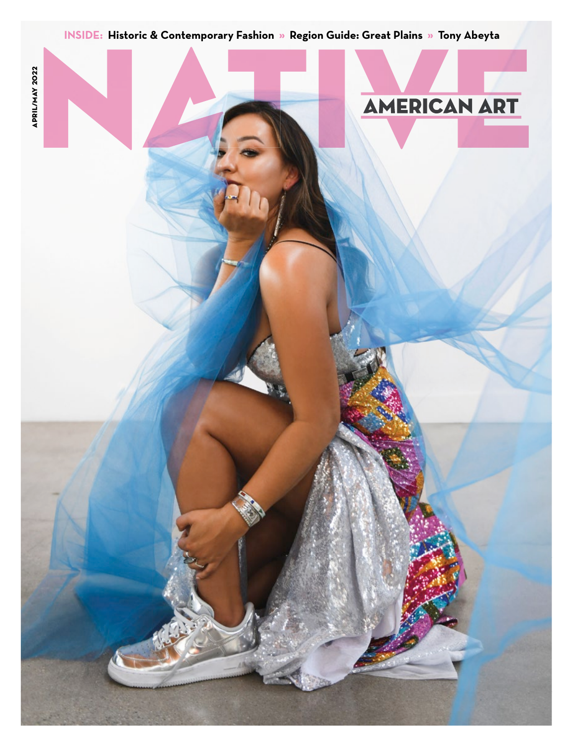

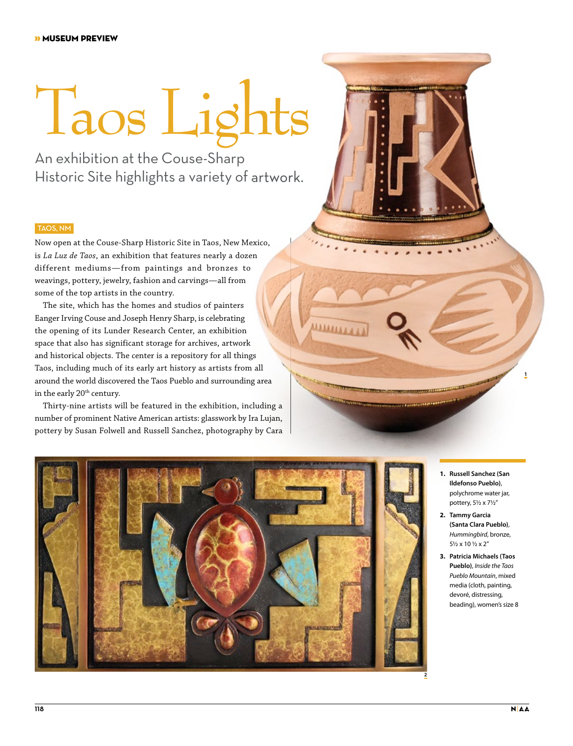## Taos Lights

An exhibition at the Couse-Sharp Historic Site highlights a variety of artwork.

## TAOS, NM

Now open at the Couse-Sharp Historic Site in Taos, New Mexico, is *La Luz de Taos*, an exhibition that features nearly a dozen different mediums—from paintings and bronzes to weavings, pottery, jewelry, fashion and carvings—all from some of the top artists in the country.

The site, which has the homes and studios of painters Eanger Irving Couse and Joseph Henry Sharp, is celebrating the opening of its Lunder Research Center, an exhibition space that also has significant storage for archives, artwork and historical objects. The center is a repository for all things Taos, including much of its early art history as artists from all around the world discovered the Taos Pueblo and surrounding area in the early 20<sup>th</sup> century.

Thirty-nine artists will be featured in the exhibition, including a number of prominent Native American artists: glasswork by Ira Lujan, pottery by Susan Folwell and Russell Sanchez, photography by Cara



**ARASSA** 

- **1. Russell Sanchez (San Ildefonso Pueblo)**, polychrome water jar, pottery, 5½ x 7½"
- **2. Tammy Garcia (Santa Clara Pueblo)**, *Hummingbird*, bronze, 5½ x 10 ½ x 2"
- **3. Patricia Michaels (Taos Pueblo)**, *Inside the Taos Pueblo Mountain*, mixed media (cloth, painting, devoré, distressing, beading), women's size 8

**1**